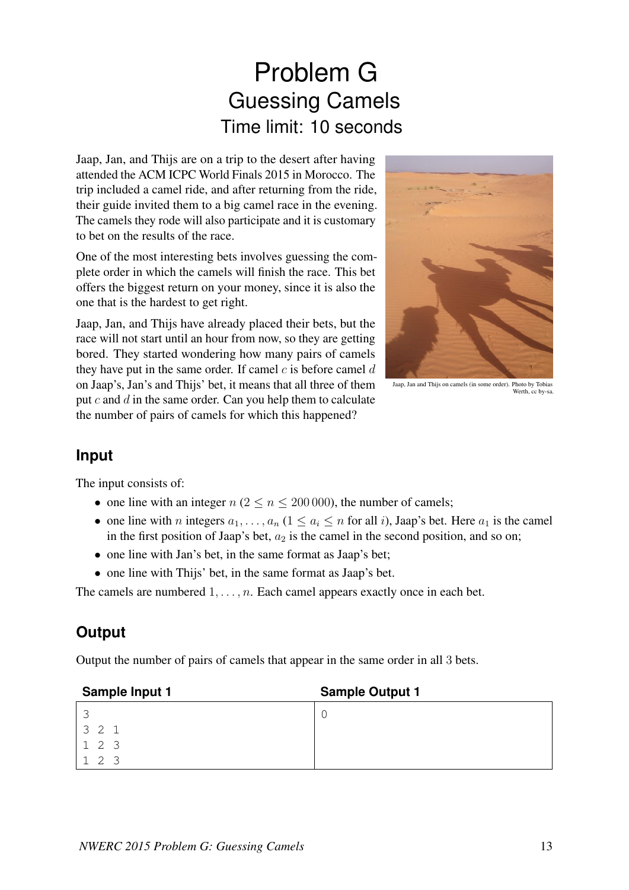## Problem G Guessing Camels Time limit: 10 seconds

Jaap, Jan, and Thijs are on a trip to the desert after having attended the ACM ICPC World Finals 2015 in Morocco. The trip included a camel ride, and after returning from the ride, their guide invited them to a big camel race in the evening. The camels they rode will also participate and it is customary to bet on the results of the race.

One of the most interesting bets involves guessing the complete order in which the camels will finish the race. This bet offers the biggest return on your money, since it is also the one that is the hardest to get right.

Jaap, Jan, and Thijs have already placed their bets, but the race will not start until an hour from now, so they are getting bored. They started wondering how many pairs of camels they have put in the same order. If camel  $c$  is before camel  $d$ on Jaap's, Jan's and Thijs' bet, it means that all three of them put  $c$  and  $d$  in the same order. Can you help them to calculate the number of pairs of camels for which this happened?



Jaap, Jan and Thijs on camels (in some order). Photo by Tobias Werth, cc by-sa.

## **Input**

The input consists of:

- one line with an integer  $n (2 \le n \le 200000)$ , the number of camels;
- one line with n integers  $a_1, \ldots, a_n$   $(1 \le a_i \le n$  for all i), Jaap's bet. Here  $a_1$  is the camel in the first position of Jaap's bet,  $a_2$  is the camel in the second position, and so on;
- one line with Jan's bet, in the same format as Jaap's bet;
- one line with Thijs' bet, in the same format as Jaap's bet.

The camels are numbered  $1, \ldots, n$ . Each camel appears exactly once in each bet.

## **Output**

Output the number of pairs of camels that appear in the same order in all 3 bets.

| Sample Input 1           | <b>Sample Output 1</b> |
|--------------------------|------------------------|
| $\overline{\phantom{0}}$ |                        |
| 3 2 1                    |                        |
| 123                      |                        |
| $\mathcal{L}$            |                        |